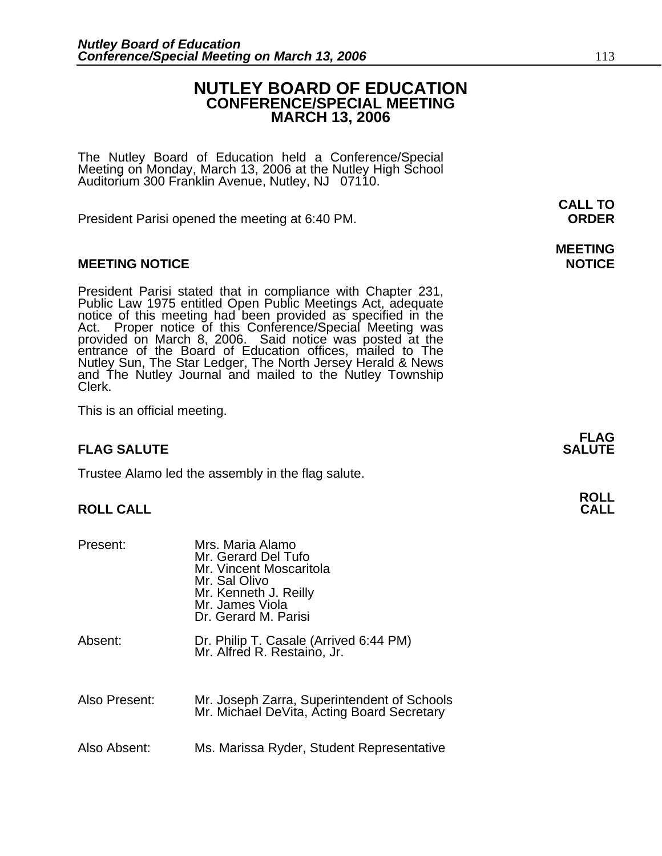## **NUTLEY BOARD OF EDUCATION CONFERENCE/SPECIAL MEETING MARCH 13, 2006**

The Nutley Board of Education held a Conference/Special Meeting on Monday, March 13, 2006 at the Nutley High School Auditorium 300 Franklin Avenue, Nutley, NJ 07110.

President Parisi opened the meeting at 6:40 PM. **ORDER**

#### **MEETING NOTICE NOTICE REPORTS AND ALCOHOL**

President Parisi stated that in compliance with Chapter 231, Public Law 1975 entitled Open Public Meetings Act, adequate notice of this meeting had been provided as specified in the Act. Proper notice of this Conference/Sp entrance of the Board of Education offices, mailed to The Nutley Sun, The Star Ledger, The North Jersey Herald & News and The Nutley Journal and mailed to the Nutley Township Clerk.

This is an official meeting.

### **FLAG SALUTE SALUTE SALUTE**

Trustee Alamo led the assembly in the flag salute.

#### **ROLL CALL**

| Present:      | Mrs. Maria Alamo<br>Mr. Gerard Del Tufo<br>Mr. Vincent Moscaritola<br>Mr. Sal Olivo<br>Mr. Kenneth J. Reilly<br>Mr. James Viola<br>Dr. Gerard M. Parisi |
|---------------|---------------------------------------------------------------------------------------------------------------------------------------------------------|
| Absent:       | Dr. Philip T. Casale (Arrived 6:44 PM)<br>Mr. Alfred R. Restaino, Jr.                                                                                   |
| Also Present: | Mr. Joseph Zarra, Superintendent of Schools<br>Mr. Michael DeVita, Acting Board Secretary                                                               |
| Also Absent:  | Ms. Marissa Ryder, Student Representative                                                                                                               |

**CALL TO** 

# **MEETING**

**FLAG**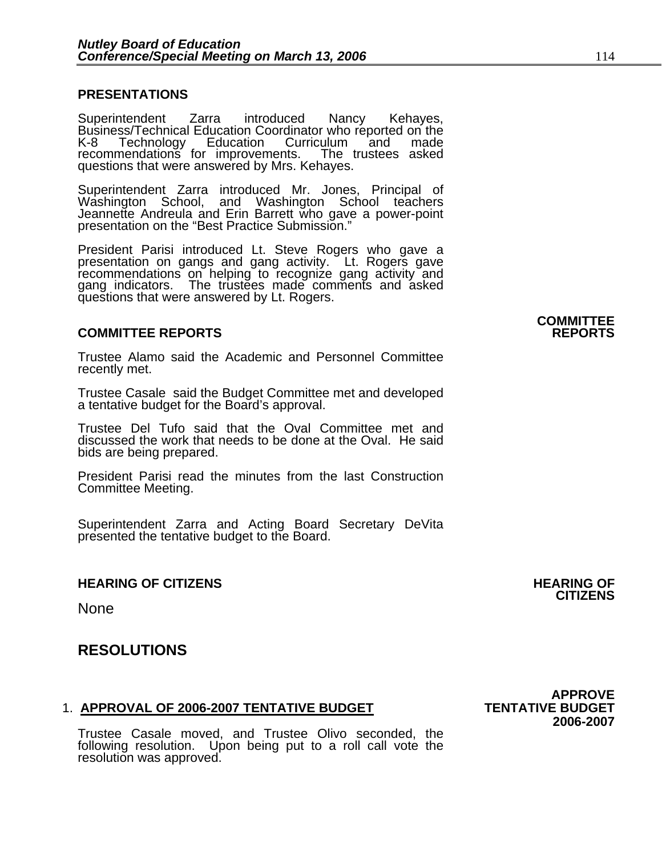#### **PRESENTATIONS**

Superintendent Zarra introduced Nancy Kehayes, Business/Technical Education Coordinator who reported on the<br>K-8 Technology Education Curriculum and made K-8 Technology Education Curriculum and made<br>recommendations for improvements. The trustees asked questions that were answered by Mrs. Kehayes.

Superintendent Zarra introduced Mr. Jones, Principal of Washington School, and Washington School teachers Jeannette Andreula and Erin Barrett who gave a power-point presentation on the "Best Practice Submission."

President Parisi introduced Lt. Steve Rogers who gave a presentation on gangs and gang activity. Lt. Rogers gave recommendations on helping to recognize gang activity and gang indicators. The trustees made comments and asked questions that were answered by Lt. Rogers.

#### **COMMITTEE REPORTS REPORTS**

Trustee Alamo said the Academic and Personnel Committee recently met.

Trustee Casale said the Budget Committee met and developed a tentative budget for the Board's approval.

Trustee Del Tufo said that the Oval Committee met and discussed the work that needs to be done at the Oval. He said bids are being prepared.

President Parisi read the minutes from the last Construction Committee Meeting.

Superintendent Zarra and Acting Board Secretary DeVita presented the tentative budget to the Board.

#### **HEARING OF CITIZENS AND REARING OF STATES AND REARING OF STATES AND REARING OF STATES AND REARING OF STATES AND REA**

None

### **RESOLUTIONS**

#### 1. **APPROVAL OF 2006-2007 TENTATIVE BUDGET TENTATIVE BUDGET**

**2006-2007** Trustee Casale moved, and Trustee Olivo seconded, the following resolution. Upon being put to a roll call vote the resolution was approved.

**APPROVE**<br>TENTATIVE BUDGET

**CITIZENS** 

**COMMITTEE**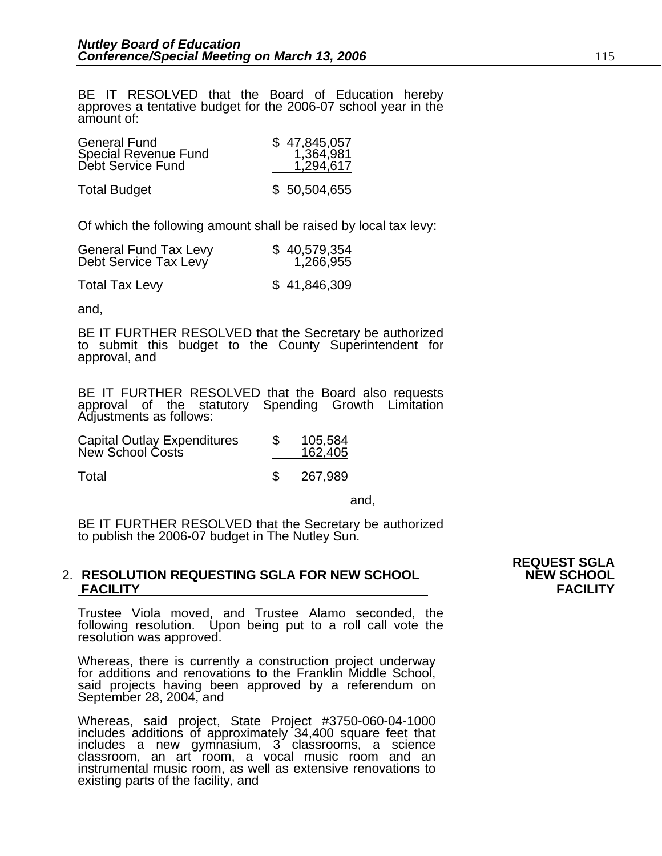BE IT RESOLVED that the Board of Education hereby approves a tentative budget for the 2006-07 school year in the amount of:

| <b>General Fund</b>         | \$47,845,057 |
|-----------------------------|--------------|
| <b>Special Revenue Fund</b> | 1,364,981    |
| Debt Service Fund           | 1,294,617    |
| <b>Total Budget</b>         | \$50,504,655 |

Of which the following amount shall be raised by local tax levy:

| <b>General Fund Tax Levy</b><br>Debt Service Tax Levy | \$40,579,354<br>1,266,955 |  |
|-------------------------------------------------------|---------------------------|--|
| <b>Total Tax Levy</b>                                 | \$41,846,309              |  |

and,

BE IT FURTHER RESOLVED that the Secretary be authorized to submit this budget to the County Superintendent for approval, and

BE IT FURTHER RESOLVED that the Board also requests approval of the statutory Spending Growth Limitation Adjustments as follows:

| <b>Capital Outlay Expenditures</b><br>New School Costs | 105,584<br>162,405 |
|--------------------------------------------------------|--------------------|
| Total                                                  | 267,989            |

and, the contract of the contract of the contract of the contract of the contract of the contract of the contract of the contract of the contract of the contract of the contract of the contract of the contract of the contr

BE IT FURTHER RESOLVED that the Secretary be authorized to publish the 2006-07 budget in The Nutley Sun.

#### 2. **RESOLUTION REQUESTING SGLA FOR NEW SCHOOL NEW SCHOOL FACILITY FACILITY**

Trustee Viola moved, and Trustee Alamo seconded, the following resolution. Upon being put to a roll call vote the resolution was approved.

Whereas, there is currently a construction project underway for additions and renovations to the Franklin Middle School, said projects having been approved by a referendum on September 28, 2004, and

Whereas, said project, State Project #3750-060-04-1000 includes additions of approximately 34,400 square feet that includes a new gymnasium, 3 classrooms, a science classroom, an art room, a vocal music room and an instrumental music room, as well as extensive renovations to existing parts of the facility, and

**REQUEST SGLA**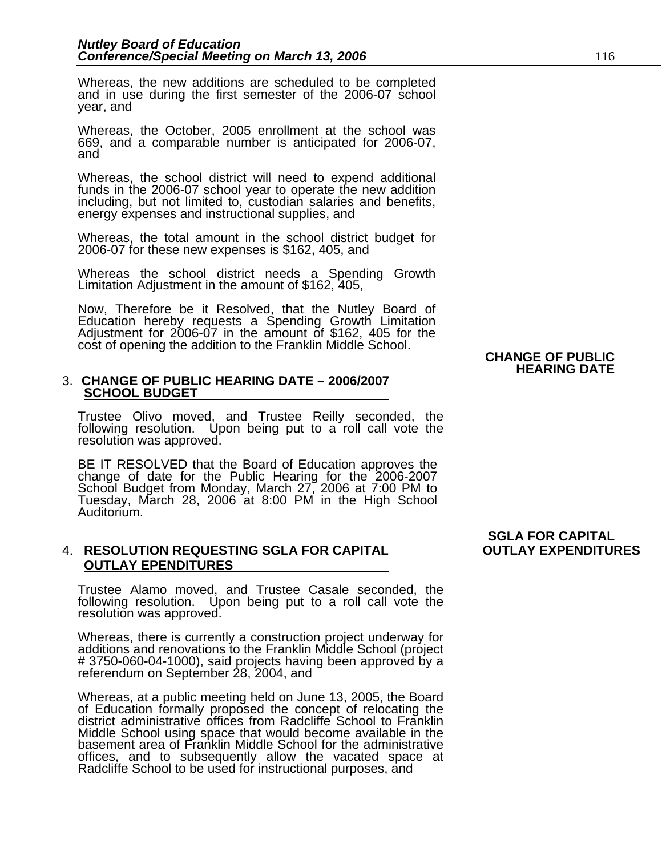Whereas, the new additions are scheduled to be completed and in use during the first semester of the 2006-07 school year, and

Whereas, the October, 2005 enrollment at the school was 669, and a comparable number is anticipated for 2006-07, and

Whereas, the school district will need to expend additional funds in the 2006-07 school year to operate the new addition including, but not limited to, custodian salaries and benefits, energy expenses and instructional supplies, and

Whereas, the total amount in the school district budget for 2006-07 for these new expenses is \$162, 405, and

Whereas the school district needs a Spending Growth Limitation Adjustment in the amount of \$162, 405,

Now, Therefore be it Resolved, that the Nutley Board of Education hereby requests a Spending Growth Limitation Adjustment for 2006-07 in the amount of \$162, 405 for the cost of opening the addition to the Franklin Middle School.<br>**CHANGE OF PUBLIC**<br>HEARING DATE

#### 3. **CHANGE OF PUBLIC HEARING DATE – 2006/2007 SCHOOL BUDGET**

Trustee Olivo moved, and Trustee Reilly seconded, the following resolution. Upon being put to a roll call vote the resolution was approved.

BE IT RESOLVED that the Board of Education approves the<br>change of date for the Public Hearing for the 2006-2007<br>School Budget from Monday, March 27, 2006 at 7:00 PM to Tuesday, March 28, 2006 at 8:00 PM in the High School<br>Auditorium.

#### 4. **RESOLUTION REQUESTING SGLA FOR CAPITAL OUTLAY EXPENDITURES OUTLAY EPENDITURES**

Trustee Alamo moved, and Trustee Casale seconded, the following resolution. Upon being put to a roll call vote the resolution was approved.

Whereas, there is currently a construction project underway for additions and renovations to the Franklin Middle School (project # 3750-060-04-1000), said projects having been approved by a referendum on September 28, 2004, and

Whereas, at a public meeting held on June 13, 2005, the Board of Education formally proposed the concept of relocating the district administrative offices from Radcliffe School to Franklin Middle School using space that would become available in the basement area of Franklin Middle School for the administrative offices, and to subsequently allow the vacated space at Radcliffe School to be used for instructional purposes, and

## **SGLA FOR CAPITAL**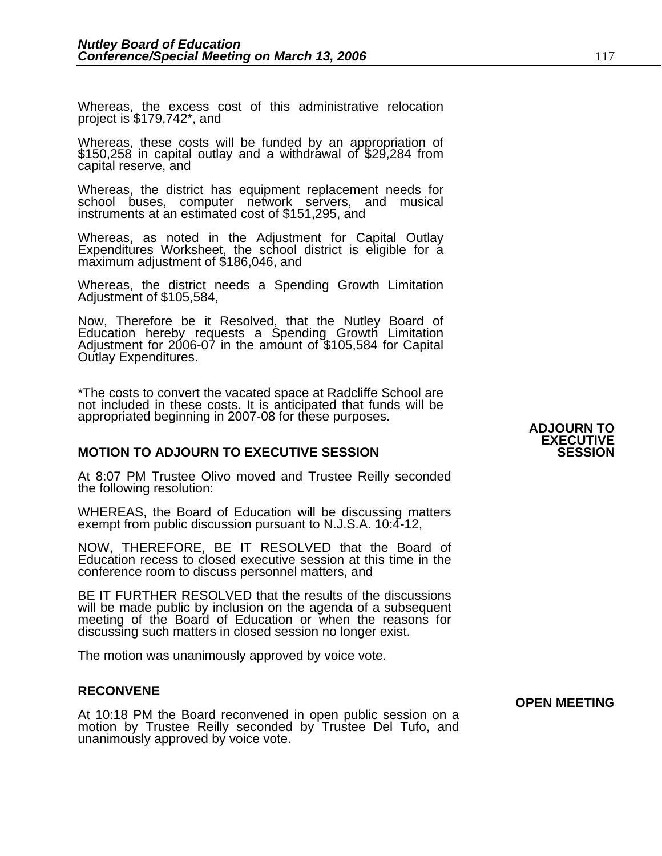Whereas, the excess cost of this administrative relocation project is \$179,742\*, and

Whereas, these costs will be funded by an appropriation of \$150,258 in capital outlay and a withdrawal of \$29,284 from capital reserve, and

Whereas, the district has equipment replacement needs for school buses, computer network servers, and musical instruments at an estimated cost of \$151,295, and

Whereas, as noted in the Adjustment for Capital Outlay Expenditures Worksheet, the school district is eligible for a<br>maximum adjustment of \$186,046, and

Whereas, the district needs a Spending Growth Limitation Adjustment of \$105,584,

Now, Therefore be it Resolved, that the Nutley Board of Education hereby requests a Spending Growth Limitation Adjustment for 2006-07 in the amount of \$105,584 for Capital Outlay Expenditures.

\*The costs to convert the vacated space at Radcliffe School are not included in these costs. It is anticipated that funds will be appropriated beginning in 2007-08 for these purposes.<br>**ADJOURN TO** 

#### **MOTION TO ADJOURN TO EXECUTIVE SESSION**

At 8:07 PM Trustee Olivo moved and Trustee Reilly seconded the following resolution:

WHEREAS, the Board of Education will be discussing matters exempt from public discussion pursuant to N.J.S.A. 10:4-12,

NOW, THEREFORE, BE IT RESOLVED that the Board of Education recess to closed executive session at this time in the conference room to discuss personnel matters, and

BE IT FURTHER RESOLVED that the results of the discussions will be made public by inclusion on the agenda of a subsequent meeting of the Board of Education or when the reasons for discussing such matters in closed session no longer exist.

The motion was unanimously approved by voice vote.

#### **RECONVENE**

**OPEN MEETING**<br>At 10:18 PM the Board reconvened in open public session on a motion by Trustee Reilly seconded by Trustee Del Tufo, and unanimously approved by voice vote.

# **EXECUTIVE**